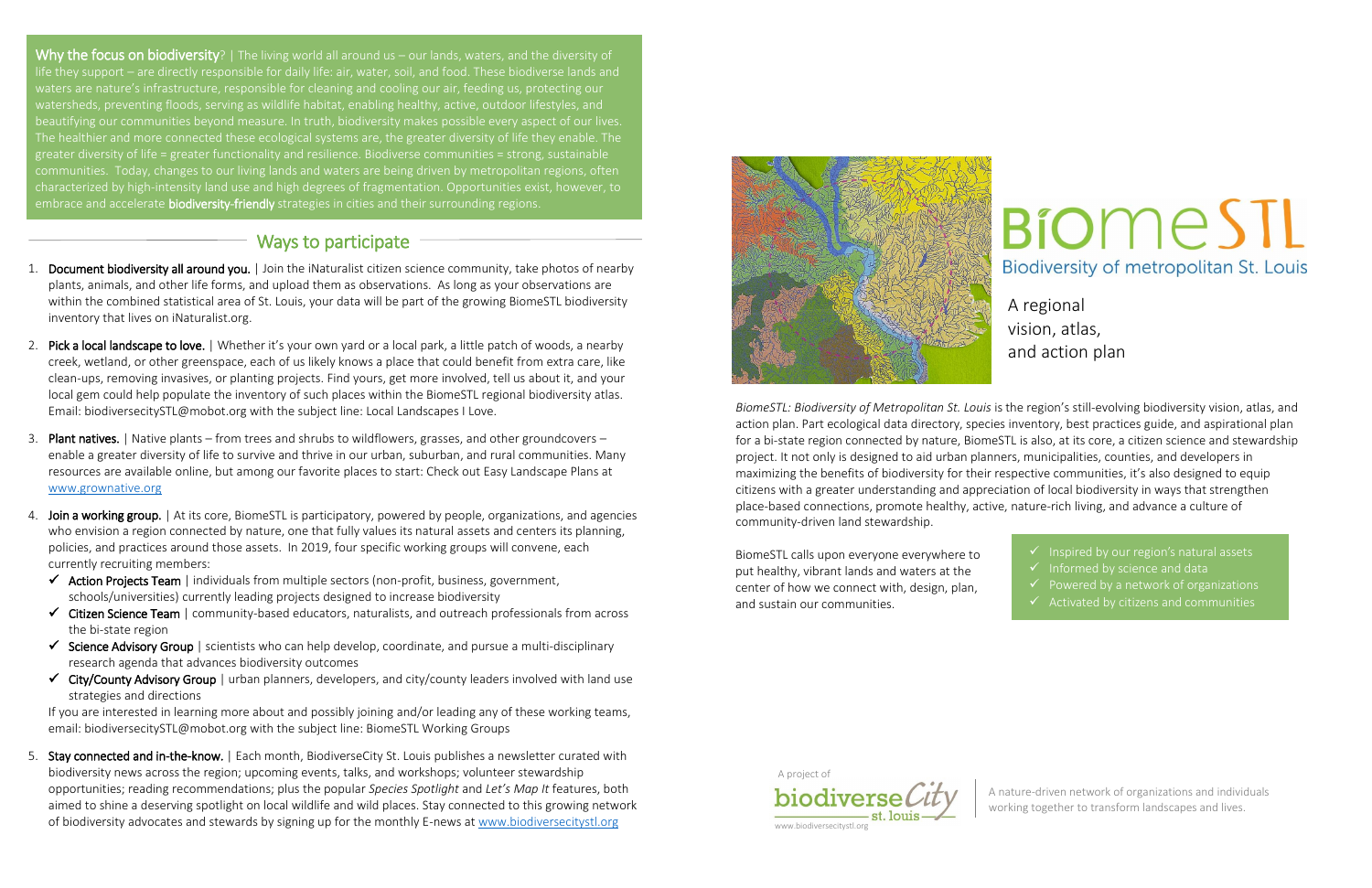- 1. Document biodiversity all around you. | Join the iNaturalist citizen science community, take photos of nearby plants, animals, and other life forms, and upload them as observations. As long as your observations are within the combined statistical area of St. Louis, your data will be part of the growing BiomeSTL biodiversity inventory that lives on iNaturalist.org.
- 2. Pick a local landscape to love. | Whether it's your own yard or a local park, a little patch of woods, a nearby creek, wetland, or other greenspace, each of us likely knows a place that could benefit from extra care, like clean-ups, removing invasives, or planting projects. Find yours, get more involved, tell us about it, and your local gem could help populate the inventory of such places within the BiomeSTL regional biodiversity atlas. Email: biodiversecitySTL@mobot.org with the subject line: Local Landscapes I Love.
- 3. Plant natives. | Native plants from trees and shrubs to wildflowers, grasses, and other groundcovers enable a greater diversity of life to survive and thrive in our urban, suburban, and rural communities. Many resources are available online, but among our favorite places to start: Check out Easy Landscape Plans at [www.grownative.org](http://www.grownative.org/)
- 4. Join a working group. | At its core, BiomeSTL is participatory, powered by people, organizations, and agencies who envision a region connected by nature, one that fully values its natural assets and centers its planning, policies, and practices around those assets. In 2019, four specific working groups will convene, each currently recruiting members:
	- $\checkmark$  Action Projects Team | individuals from multiple sectors (non-profit, business, government, schools/universities) currently leading projects designed to increase biodiversity
	- $\checkmark$  Citizen Science Team | community-based educators, naturalists, and outreach professionals from across the bi-state region
	- $\checkmark$  Science Advisory Group | scientists who can help develop, coordinate, and pursue a multi-disciplinary research agenda that advances biodiversity outcomes
	- $\checkmark$  City/County Advisory Group | urban planners, developers, and city/county leaders involved with land use strategies and directions

5. Stay connected and in-the-know. | Each month, BiodiverseCity St. Louis publishes a newsletter curated with biodiversity news across the region; upcoming events, talks, and workshops; volunteer stewardship opportunities; reading recommendations; plus the popular *Species Spotlight* and *Let's Map It* features, both aimed to shine a deserving spotlight on local wildlife and wild places. Stay connected to this growing network of biodiversity advocates and stewards by signing up for the monthly E-news a[t www.biodiversecitystl.org](http://www.biodiversecitystl.org/)



If you are interested in learning more about and possibly joining and/or leading any of these working teams, email: biodiversecitySTL@mobot.org with the subject line: BiomeSTL Working Groups

- Informed by science and data
- $\checkmark$  Powered by a network of organizations
- 

## A regional vision, atlas, and action plan

 $\checkmark$  Inspired by our region's natural assets

A nature-driven network of organizations and individuals working together to transform landscapes and lives.

www.biodiversecitystl.org

*BiomeSTL: Biodiversity of Metropolitan St. Louis* is the region's still-evolving biodiversity vision, atlas, and action plan. Part ecological data directory, species inventory, best practices guide, and aspirational plan for a bi-state region connected by nature, BiomeSTL is also, at its core, a citizen science and stewardship project. It not only is designed to aid urban planners, municipalities, counties, and developers in maximizing the benefits of biodiversity for their respective communities, it's also designed to equip citizens with a greater understanding and appreciation of local biodiversity in ways that strengthen place-based connections, promote healthy, active, nature-rich living, and advance a culture of community-driven land stewardship.

BiomeSTL calls upon everyone everywhere to put healthy, vibrant lands and waters at the center of how we connect with, design, plan, and sustain our communities.

biodiverse

A project of

# **BiomeSTL** Biodiversity of metropolitan St. Louis

Why the focus on biodiversity? | The living world all around us – our lands, waters, and the diversity of life they support – are directly responsible for daily life: air, water, soil, and food. These biodiverse lands and waters are nature's infrastructure, responsible for cleaning and cooling our air, feeding us, protecting our watersheds, preventing floods, serving as wildlife habitat, enabling healthy, active, outdoor lifestyles, and beautifying our communities beyond measure. In truth, biodiversity makes possible every aspect of our lives. The healthier and more connected these ecological systems are, the greater diversity of life they enable. The greater diversity of life = greater functionality and resilience. Biodiverse communities = strong, sustainable communities. Today, changes to our living lands and waters are being driven by metropolitan regions, often characterized by high-intensity land use and high degrees of fragmentation. Opportunities exist, however, to embrace and accelerate **biodiversity-friendly** strategies in cities and their surrounding regions.

## Ways to participate